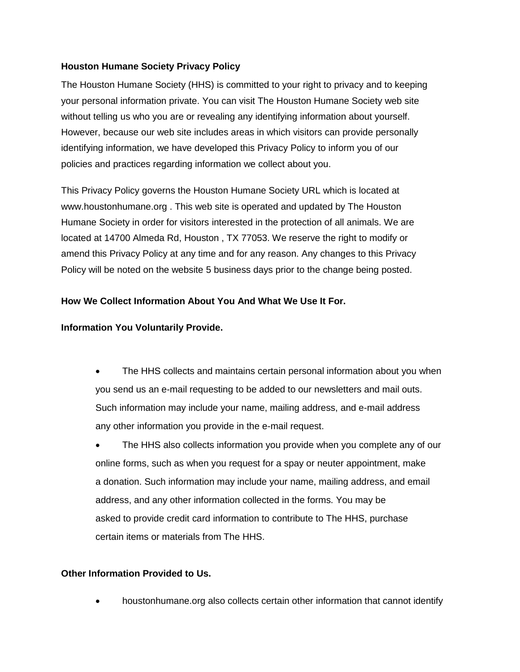## **Houston Humane Society Privacy Policy**

The Houston Humane Society (HHS) is committed to your right to privacy and to keeping your personal information private. You can visit The Houston Humane Society web site without telling us who you are or revealing any identifying information about yourself. However, because our web site includes areas in which visitors can provide personally identifying information, we have developed this Privacy Policy to inform you of our policies and practices regarding information we collect about you.

This Privacy Policy governs the Houston Humane Society URL which is located at www.houstonhumane.org . This web site is operated and updated by The Houston Humane Society in order for visitors interested in the protection of all animals. We are located at 14700 Almeda Rd, Houston , TX 77053. We reserve the right to modify or amend this Privacy Policy at any time and for any reason. Any changes to this Privacy Policy will be noted on the website 5 business days prior to the change being posted.

# **How We Collect Information About You And What We Use It For.**

## **Information You Voluntarily Provide.**

- The HHS collects and maintains certain personal information about you when you send us an e-mail requesting to be added to our newsletters and mail outs. Such information may include your name, mailing address, and e-mail address any other information you provide in the e-mail request.
- The HHS also collects information you provide when you complete any of our online forms, such as when you request for a spay or neuter appointment, make a donation. Such information may include your name, mailing address, and email address, and any other information collected in the forms. You may be asked to provide credit card information to contribute to The HHS, purchase certain items or materials from The HHS.

# **Other Information Provided to Us.**

houstonhumane.org also collects certain other information that cannot identify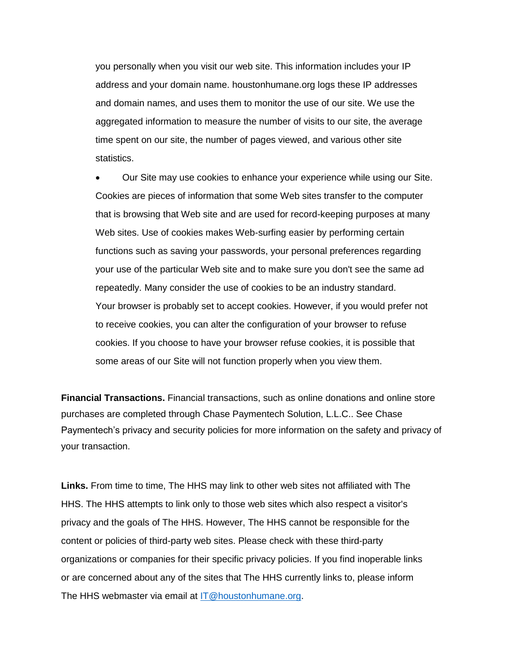you personally when you visit our web site. This information includes your IP address and your domain name. houstonhumane.org logs these IP addresses and domain names, and uses them to monitor the use of our site. We use the aggregated information to measure the number of visits to our site, the average time spent on our site, the number of pages viewed, and various other site statistics.

 Our Site may use cookies to enhance your experience while using our Site. Cookies are pieces of information that some Web sites transfer to the computer that is browsing that Web site and are used for record-keeping purposes at many Web sites. Use of cookies makes Web-surfing easier by performing certain functions such as saving your passwords, your personal preferences regarding your use of the particular Web site and to make sure you don't see the same ad repeatedly. Many consider the use of cookies to be an industry standard. Your browser is probably set to accept cookies. However, if you would prefer not to receive cookies, you can alter the configuration of your browser to refuse cookies. If you choose to have your browser refuse cookies, it is possible that some areas of our Site will not function properly when you view them.

**Financial Transactions.** Financial transactions, such as online donations and online store purchases are completed through Chase Paymentech Solution, L.L.C.. See Chase Paymentech's privacy and security policies for more information on the safety and privacy of your transaction.

**Links.** From time to time, The HHS may link to other web sites not affiliated with The HHS. The HHS attempts to link only to those web sites which also respect a visitor's privacy and the goals of The HHS. However, The HHS cannot be responsible for the content or policies of third-party web sites. Please check with these third-party organizations or companies for their specific privacy policies. If you find inoperable links or are concerned about any of the sites that The HHS currently links to, please inform The HHS webmaster via email at [IT@houstonhumane.org.](mailto:IT@houstonhumane.org)